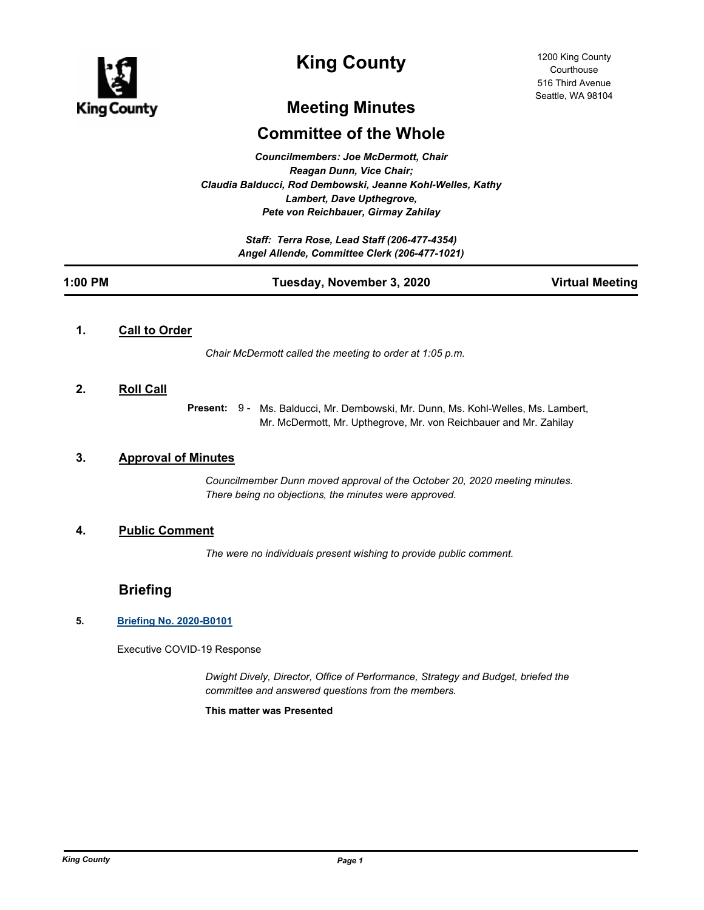

# **King County**

# **Meeting Minutes**

# **Committee of the Whole**

*Councilmembers: Joe McDermott, Chair Reagan Dunn, Vice Chair; Claudia Balducci, Rod Dembowski, Jeanne Kohl-Welles, Kathy Lambert, Dave Upthegrove, Pete von Reichbauer, Girmay Zahilay*

> *Staff: Terra Rose, Lead Staff (206-477-4354) Angel Allende, Committee Clerk (206-477-1021)*

| 1:00 PM | Tuesday, November 3, 2020 | <b>Virtual Meeting</b> |
|---------|---------------------------|------------------------|
|         |                           |                        |

# **1. Call to Order**

*Chair McDermott called the meeting to order at 1:05 p.m.*

## **2. Roll Call**

Present: 9 - Ms. Balducci, Mr. Dembowski, Mr. Dunn, Ms. Kohl-Welles, Ms. Lambert, Mr. McDermott, Mr. Upthegrove, Mr. von Reichbauer and Mr. Zahilay

## **3. Approval of Minutes**

*Councilmember Dunn moved approval of the October 20, 2020 meeting minutes. There being no objections, the minutes were approved.*

# **4. Public Comment**

*The were no individuals present wishing to provide public comment.*

# **Briefing**

## **5. [Briefing No. 2020-B0101](http://kingcounty.legistar.com/gateway.aspx?m=l&id=/matter.aspx?key=21664)**

Executive COVID-19 Response

*Dwight Dively, Director, Office of Performance, Strategy and Budget, briefed the committee and answered questions from the members.*

**This matter was Presented**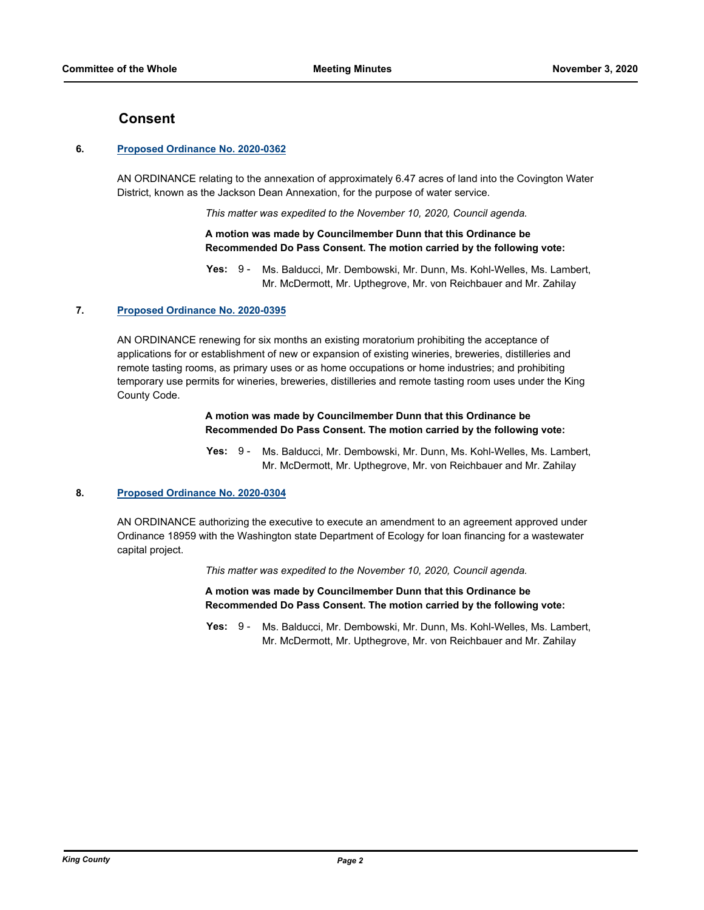## **Consent**

#### **6. [Proposed Ordinance No. 2020-0362](http://kingcounty.legistar.com/gateway.aspx?m=l&id=/matter.aspx?key=21606)**

AN ORDINANCE relating to the annexation of approximately 6.47 acres of land into the Covington Water District, known as the Jackson Dean Annexation, for the purpose of water service.

*This matter was expedited to the November 10, 2020, Council agenda.*

### **A motion was made by Councilmember Dunn that this Ordinance be Recommended Do Pass Consent. The motion carried by the following vote:**

#### **7. [Proposed Ordinance No. 2020-0395](http://kingcounty.legistar.com/gateway.aspx?m=l&id=/matter.aspx?key=21658)**

AN ORDINANCE renewing for six months an existing moratorium prohibiting the acceptance of applications for or establishment of new or expansion of existing wineries, breweries, distilleries and remote tasting rooms, as primary uses or as home occupations or home industries; and prohibiting temporary use permits for wineries, breweries, distilleries and remote tasting room uses under the King County Code.

#### **A motion was made by Councilmember Dunn that this Ordinance be Recommended Do Pass Consent. The motion carried by the following vote:**

Yes: 9 - Ms. Balducci, Mr. Dembowski, Mr. Dunn, Ms. Kohl-Welles, Ms. Lambert, Mr. McDermott, Mr. Upthegrove, Mr. von Reichbauer and Mr. Zahilay

### **8. [Proposed Ordinance No. 2020-0304](http://kingcounty.legistar.com/gateway.aspx?m=l&id=/matter.aspx?key=21514)**

AN ORDINANCE authorizing the executive to execute an amendment to an agreement approved under Ordinance 18959 with the Washington state Department of Ecology for loan financing for a wastewater capital project.

*This matter was expedited to the November 10, 2020, Council agenda.*

**A motion was made by Councilmember Dunn that this Ordinance be Recommended Do Pass Consent. The motion carried by the following vote:**

**Yes:** Ms. Balducci, Mr. Dembowski, Mr. Dunn, Ms. Kohl-Welles, Ms. Lambert, Mr. McDermott, Mr. Upthegrove, Mr. von Reichbauer and Mr. Zahilay Yes:  $9 -$ 

**Yes:** Ms. Balducci, Mr. Dembowski, Mr. Dunn, Ms. Kohl-Welles, Ms. Lambert, Mr. McDermott, Mr. Upthegrove, Mr. von Reichbauer and Mr. Zahilay  $Yes: 9 -$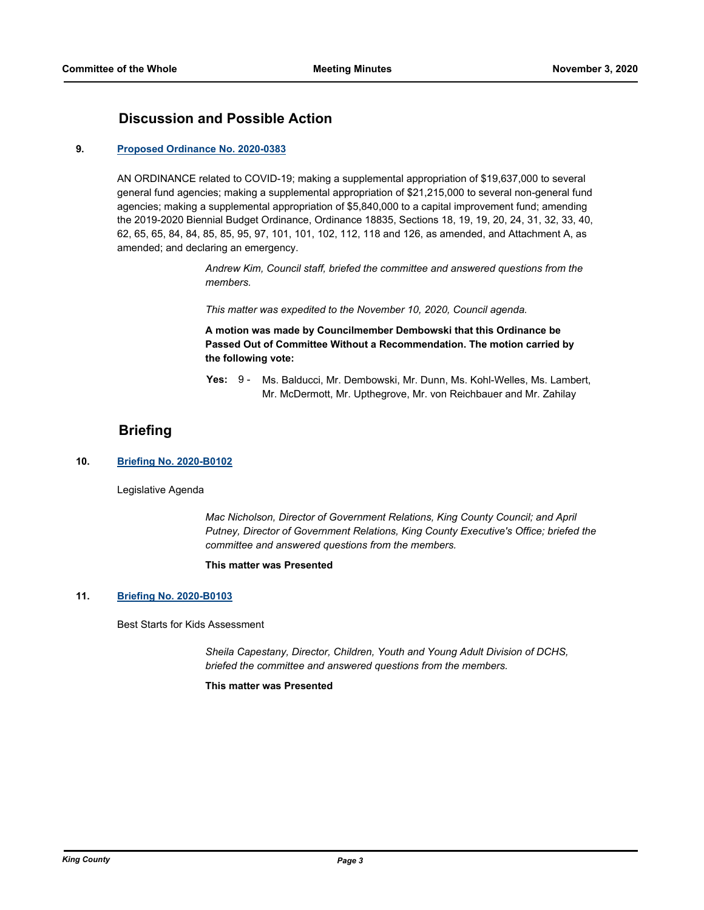# **Discussion and Possible Action**

#### **9. [Proposed Ordinance No. 2020-0383](http://kingcounty.legistar.com/gateway.aspx?m=l&id=/matter.aspx?key=21641)**

AN ORDINANCE related to COVID-19; making a supplemental appropriation of \$19,637,000 to several general fund agencies; making a supplemental appropriation of \$21,215,000 to several non-general fund agencies; making a supplemental appropriation of \$5,840,000 to a capital improvement fund; amending the 2019-2020 Biennial Budget Ordinance, Ordinance 18835, Sections 18, 19, 19, 20, 24, 31, 32, 33, 40, 62, 65, 65, 84, 84, 85, 85, 95, 97, 101, 101, 102, 112, 118 and 126, as amended, and Attachment A, as amended; and declaring an emergency.

> *Andrew Kim, Council staff, briefed the committee and answered questions from the members.*

*This matter was expedited to the November 10, 2020, Council agenda.*

**A motion was made by Councilmember Dembowski that this Ordinance be Passed Out of Committee Without a Recommendation. The motion carried by the following vote:**

Yes: 9 - Ms. Balducci, Mr. Dembowski, Mr. Dunn, Ms. Kohl-Welles, Ms. Lambert, Mr. McDermott, Mr. Upthegrove, Mr. von Reichbauer and Mr. Zahilay

# **Briefing**

### **10. [Briefing No. 2020-B0102](http://kingcounty.legistar.com/gateway.aspx?m=l&id=/matter.aspx?key=21666)**

Legislative Agenda

*Mac Nicholson, Director of Government Relations, King County Council; and April Putney, Director of Government Relations, King County Executive's Office; briefed the committee and answered questions from the members.*

#### **This matter was Presented**

#### **11. [Briefing No. 2020-B0103](http://kingcounty.legistar.com/gateway.aspx?m=l&id=/matter.aspx?key=21667)**

Best Starts for Kids Assessment

*Sheila Capestany, Director, Children, Youth and Young Adult Division of DCHS, briefed the committee and answered questions from the members.*

**This matter was Presented**